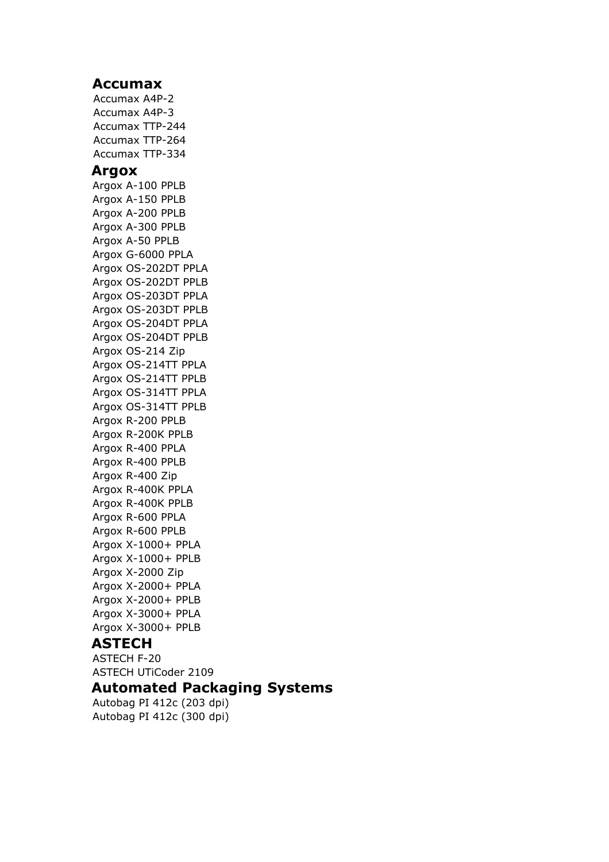#### **Accumax**

Accumax A4P-2 Accumax A4P-3 Accumax TTP-244 Accumax TTP-264 Accumax TTP-334 **Argox** Argox A-100 PPLB Argox A-150 PPLB Argox A-200 PPLB Argox A-300 PPLB Argox A-50 PPLB Argox G-6000 PPLA Argox OS-202DT PPLA Argox OS-202DT PPLB Argox OS-203DT PPLA Argox OS-203DT PPLB Argox OS-204DT PPLA Argox OS-204DT PPLB Argox OS-214 Zip Argox OS-214TT PPLA Argox OS-214TT PPLB Argox OS-314TT PPLA Argox OS-314TT PPLB Argox R-200 PPLB Argox R-200K PPLB Argox R-400 PPLA Argox R-400 PPLB Argox R-400 Zip Argox R-400K PPLA Argox R-400K PPLB Argox R-600 PPLA Argox R-600 PPLB Argox X-1000+ PPLA Argox X-1000+ PPLB Argox X-2000 Zip Argox X-2000+ PPLA Argox X-2000+ PPLB Argox X-3000+ PPLA Argox X-3000+ PPLB

#### **ASTECH**

ASTECH F-20 ASTECH UTiCoder 2109

## **Automated Packaging Systems**

Autobag PI 412c (203 dpi) Autobag PI 412c (300 dpi)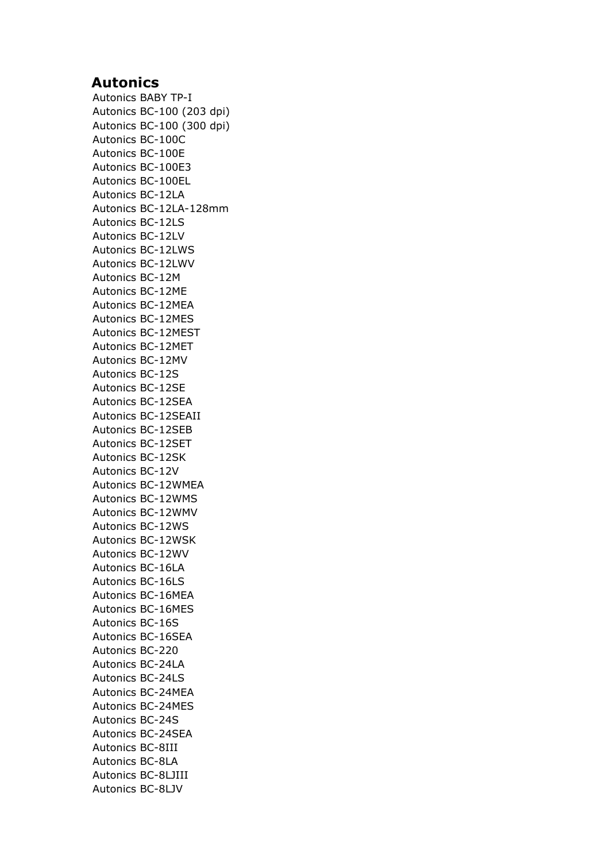### **Autonics**

Autonics BABY TP-I Autonics BC-100 (203 dpi) Autonics BC-100 (300 dpi) Autonics BC-100C Autonics BC-100E Autonics BC-100E3 Autonics BC-100EL Autonics BC-12LA Autonics BC-12LA-128mm Autonics BC-12LS Autonics BC-12LV Autonics BC-12LWS Autonics BC-12LWV Autonics BC-12M Autonics BC-12ME Autonics BC-12MEA Autonics BC-12MES Autonics BC-12MEST Autonics BC-12MET Autonics BC-12MV Autonics BC-12S Autonics BC-12SE Autonics BC-12SEA Autonics BC-12SEAII Autonics BC-12SEB Autonics BC-12SET Autonics BC-12SK Autonics BC-12V Autonics BC-12WMEA Autonics BC-12WMS Autonics BC-12WMV Autonics BC-12WS Autonics BC-12WSK Autonics BC-12WV Autonics BC-16LA Autonics BC-16LS Autonics BC-16MEA Autonics BC-16MES Autonics BC-16S Autonics BC-16SEA Autonics BC-220 Autonics BC-24LA Autonics BC-24LS Autonics BC-24MEA Autonics BC-24MES Autonics BC-24S Autonics BC-24SEA Autonics BC-8III Autonics BC-8LA Autonics BC-8LJIII Autonics BC-8LJV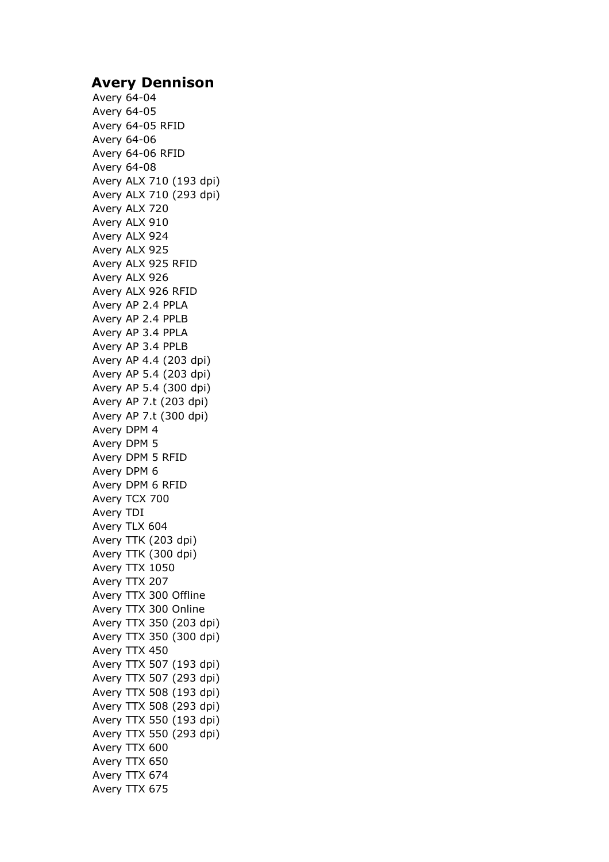### **Avery Dennison**

Avery 64-04 Avery 64-05 Avery 64-05 RFID Avery 64-06 Avery 64-06 RFID Avery 64-08 Avery ALX 710 (193 dpi) Avery ALX 710 (293 dpi) Avery ALX 720 Avery ALX 910 Avery ALX 924 Avery ALX 925 Avery ALX 925 RFID Avery ALX 926 Avery ALX 926 RFID Avery AP 2.4 PPLA Avery AP 2.4 PPLB Avery AP 3.4 PPLA Avery AP 3.4 PPLB Avery AP 4.4 (203 dpi) Avery AP 5.4 (203 dpi) Avery AP 5.4 (300 dpi) Avery AP 7.t (203 dpi) Avery AP 7.t (300 dpi) Avery DPM 4 Avery DPM 5 Avery DPM 5 RFID Avery DPM 6 Avery DPM 6 RFID Avery TCX 700 Avery TDI Avery TLX 604 Avery TTK (203 dpi) Avery TTK (300 dpi) Avery TTX 1050 Avery TTX 207 Avery TTX 300 Offline Avery TTX 300 Online Avery TTX 350 (203 dpi) Avery TTX 350 (300 dpi) Avery TTX 450 Avery TTX 507 (193 dpi) Avery TTX 507 (293 dpi) Avery TTX 508 (193 dpi) Avery TTX 508 (293 dpi) Avery TTX 550 (193 dpi) Avery TTX 550 (293 dpi) Avery TTX 600 Avery TTX 650 Avery TTX 674 Avery TTX 675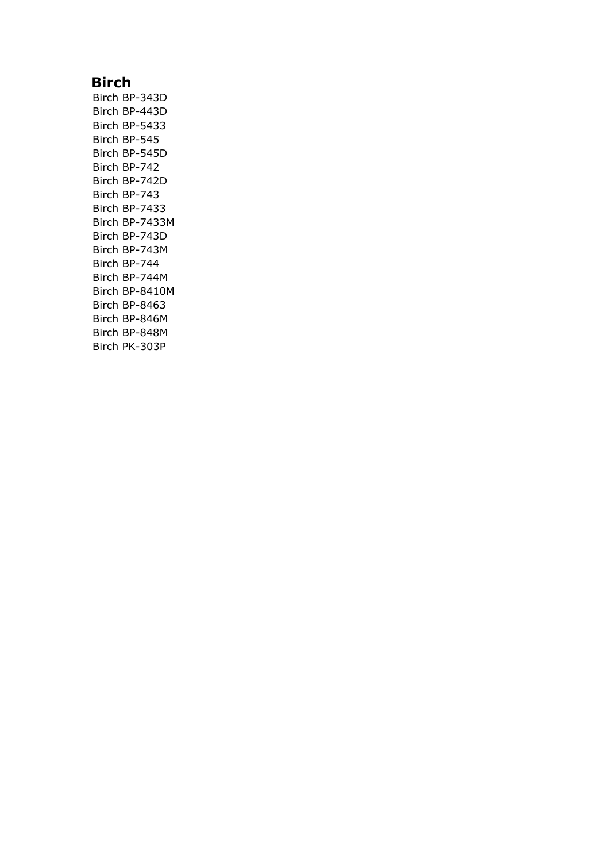# **Birch**

Birch BP-343D Birch BP-443D Birch BP-5433 Birch BP-545 Birch BP-545D Birch BP-742 Birch BP-742D Birch BP-743 Birch BP-7433 Birch BP-7433M Birch BP-743D Birch BP-743M Birch BP-744 Birch BP-744M Birch BP-8410M Birch BP-8463 Birch BP-846M Birch BP-848M Birch PK-303P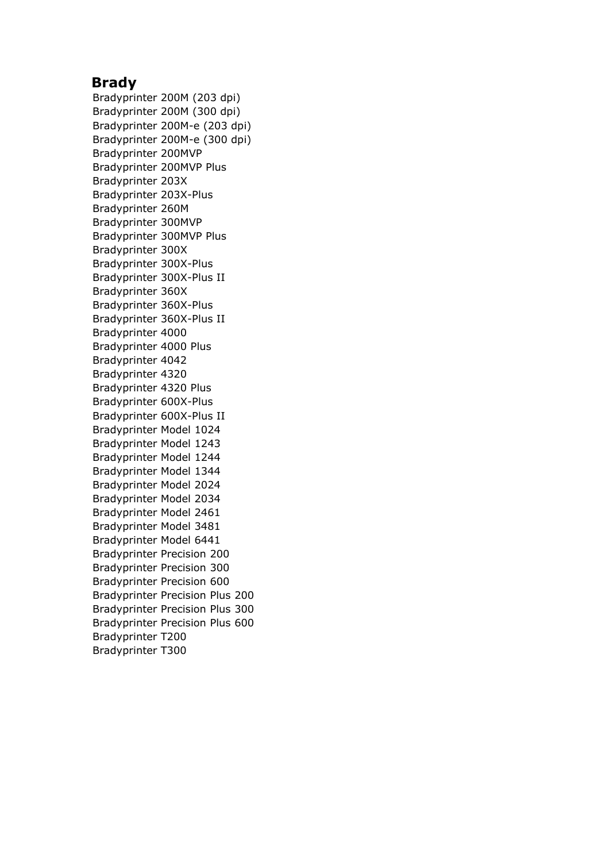## **Brady**

Bradyprinter 200M (203 dpi) Bradyprinter 200M (300 dpi) Bradyprinter 200M-e (203 dpi) Bradyprinter 200M-e (300 dpi) Bradyprinter 200MVP Bradyprinter 200MVP Plus Bradyprinter 203X Bradyprinter 203X-Plus Bradyprinter 260M Bradyprinter 300MVP Bradyprinter 300MVP Plus Bradyprinter 300X Bradyprinter 300X-Plus Bradyprinter 300X-Plus II Bradyprinter 360X Bradyprinter 360X-Plus Bradyprinter 360X-Plus II Bradyprinter 4000 Bradyprinter 4000 Plus Bradyprinter 4042 Bradyprinter 4320 Bradyprinter 4320 Plus Bradyprinter 600X-Plus Bradyprinter 600X-Plus II Bradyprinter Model 1024 Bradyprinter Model 1243 Bradyprinter Model 1244 Bradyprinter Model 1344 Bradyprinter Model 2024 Bradyprinter Model 2034 Bradyprinter Model 2461 Bradyprinter Model 3481 Bradyprinter Model 6441 Bradyprinter Precision 200 Bradyprinter Precision 300 Bradyprinter Precision 600 Bradyprinter Precision Plus 200 Bradyprinter Precision Plus 300 Bradyprinter Precision Plus 600 Bradyprinter T200 Bradyprinter T300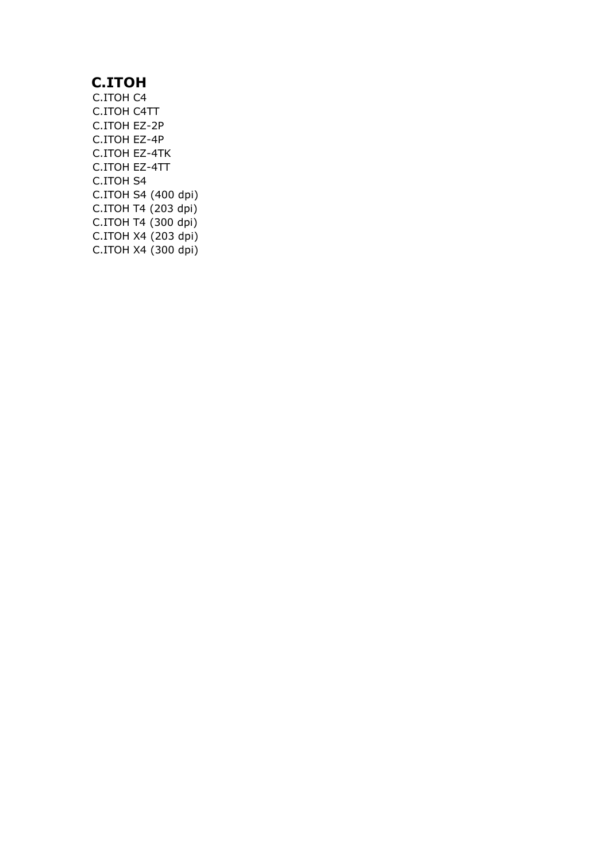# **C.ITOH**

C.ITOH C4 C.ITOH C4TT C.ITOH EZ-2P C.ITOH EZ-4P C.ITOH EZ-4TK C.ITOH EZ-4TT C.ITOH S4 C.ITOH S4 (400 dpi) C.ITOH T4 (203 dpi) C.ITOH T4 (300 dpi) C.ITOH X4 (203 dpi) C.ITOH X4 (300 dpi)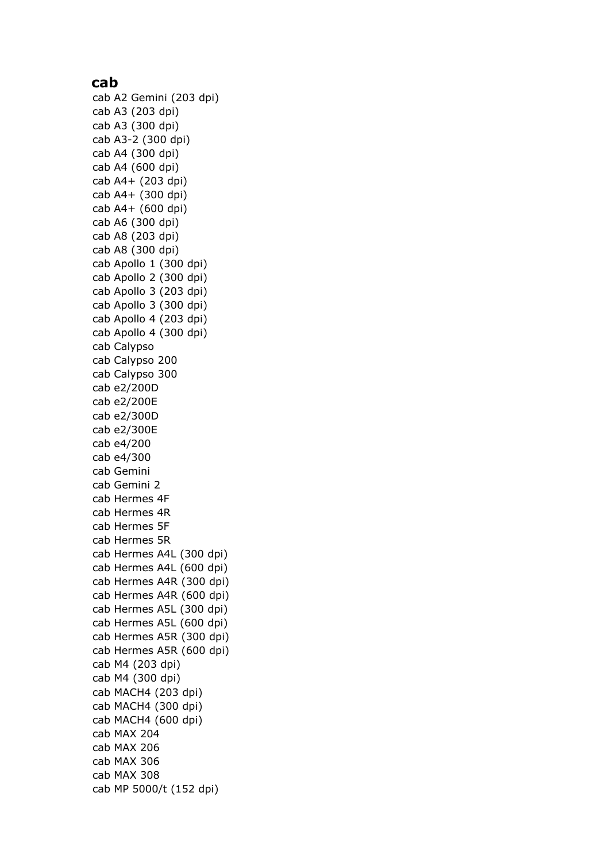#### **cab**

cab A2 Gemini (203 dpi) cab A3 (203 dpi) cab A3 (300 dpi) cab A3-2 (300 dpi) cab A4 (300 dpi) cab A4 (600 dpi) cab A4+ (203 dpi) cab A4+ (300 dpi) cab A4+ (600 dpi) cab A6 (300 dpi) cab A8 (203 dpi) cab A8 (300 dpi) cab Apollo 1 (300 dpi) cab Apollo 2 (300 dpi) cab Apollo 3 (203 dpi) cab Apollo 3 (300 dpi) cab Apollo 4 (203 dpi) cab Apollo 4 (300 dpi) cab Calypso cab Calypso 200 cab Calypso 300 cab e2/200D cab e2/200E cab e2/300D cab e2/300E cab e4/200 cab e4/300 cab Gemini cab Gemini 2 cab Hermes 4F cab Hermes 4R cab Hermes 5F cab Hermes 5R cab Hermes A4L (300 dpi) cab Hermes A4L (600 dpi) cab Hermes A4R (300 dpi) cab Hermes A4R (600 dpi) cab Hermes A5L (300 dpi) cab Hermes A5L (600 dpi) cab Hermes A5R (300 dpi) cab Hermes A5R (600 dpi) cab M4 (203 dpi) cab M4 (300 dpi) cab MACH4 (203 dpi) cab MACH4 (300 dpi) cab MACH4 (600 dpi) cab MAX 204 cab MAX 206 cab MAX 306 cab MAX 308 cab MP 5000/t (152 dpi)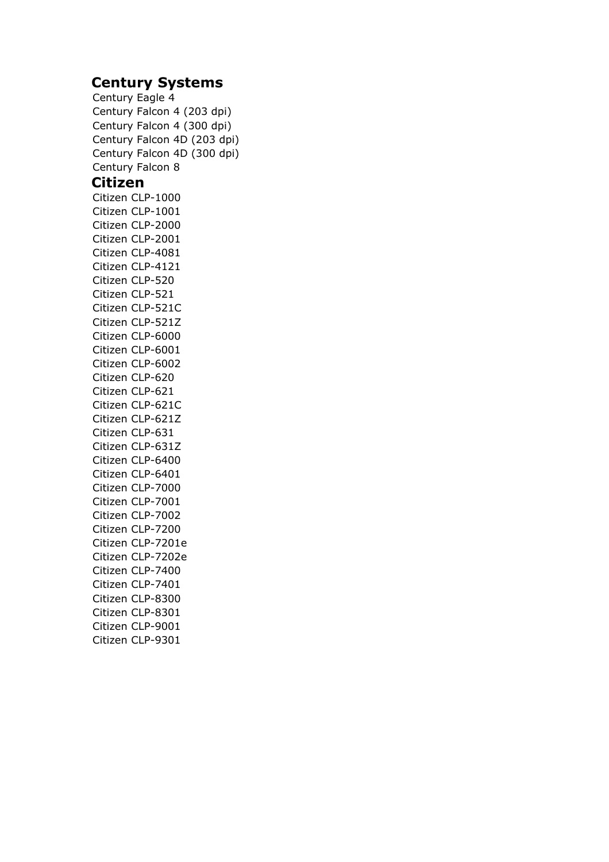# **Century Systems**

Century Eagle 4 Century Falcon 4 (203 dpi) Century Falcon 4 (300 dpi) Century Falcon 4D (203 dpi) Century Falcon 4D (300 dpi) Century Falcon 8 **Citizen** Citizen CLP-1000 Citizen CLP-1001 Citizen CLP-2000 Citizen CLP-2001 Citizen CLP-4081 Citizen CLP-4121 Citizen CLP-520 Citizen CLP-521 Citizen CLP-521C Citizen CLP-521Z Citizen CLP-6000 Citizen CLP-6001 Citizen CLP-6002 Citizen CLP-620 Citizen CLP-621 Citizen CLP-621C Citizen CLP-621Z Citizen CLP-631 Citizen CLP-631Z Citizen CLP-6400 Citizen CLP-6401 Citizen CLP-7000 Citizen CLP-7001 Citizen CLP-7002 Citizen CLP-7200 Citizen CLP-7201e Citizen CLP-7202e Citizen CLP-7400 Citizen CLP-7401 Citizen CLP-8300 Citizen CLP-8301 Citizen CLP-9001 Citizen CLP-9301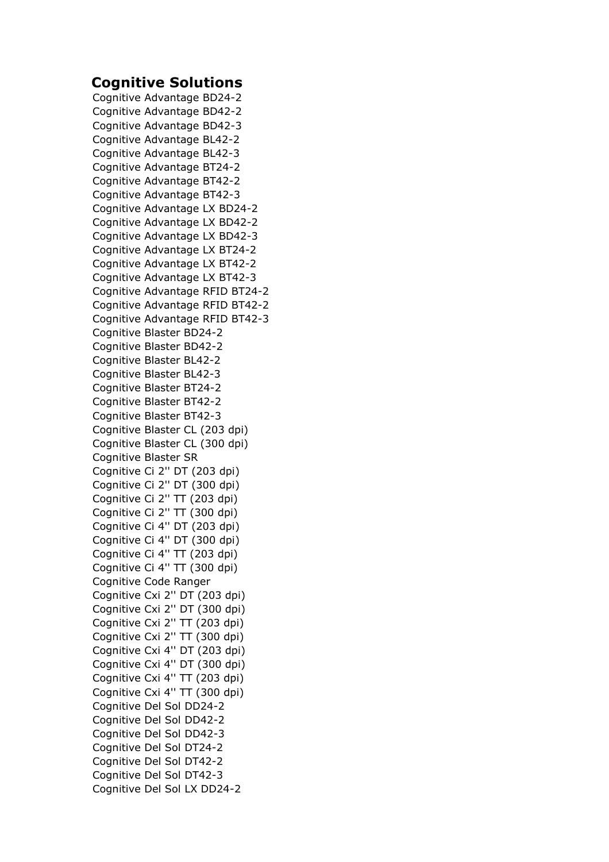# **Cognitive Solutions**

Cognitive Advantage BD24-2 Cognitive Advantage BD42-2 Cognitive Advantage BD42-3 Cognitive Advantage BL42-2 Cognitive Advantage BL42-3 Cognitive Advantage BT24-2 Cognitive Advantage BT42-2 Cognitive Advantage BT42-3 Cognitive Advantage LX BD24-2 Cognitive Advantage LX BD42-2 Cognitive Advantage LX BD42-3 Cognitive Advantage LX BT24-2 Cognitive Advantage LX BT42-2 Cognitive Advantage LX BT42-3 Cognitive Advantage RFID BT24-2 Cognitive Advantage RFID BT42-2 Cognitive Advantage RFID BT42-3 Cognitive Blaster BD24-2 Cognitive Blaster BD42-2 Cognitive Blaster BL42-2 Cognitive Blaster BL42-3 Cognitive Blaster BT24-2 Cognitive Blaster BT42-2 Cognitive Blaster BT42-3 Cognitive Blaster CL (203 dpi) Cognitive Blaster CL (300 dpi) Cognitive Blaster SR Cognitive Ci 2'' DT (203 dpi) Cognitive Ci 2'' DT (300 dpi) Cognitive Ci 2'' TT (203 dpi) Cognitive Ci 2'' TT (300 dpi) Cognitive Ci 4'' DT (203 dpi) Cognitive Ci 4'' DT (300 dpi) Cognitive Ci 4'' TT (203 dpi) Cognitive Ci 4'' TT (300 dpi) Cognitive Code Ranger Cognitive Cxi 2'' DT (203 dpi) Cognitive Cxi 2'' DT (300 dpi) Cognitive Cxi 2'' TT (203 dpi) Cognitive Cxi 2'' TT (300 dpi) Cognitive Cxi 4'' DT (203 dpi) Cognitive Cxi 4'' DT (300 dpi) Cognitive Cxi 4'' TT (203 dpi) Cognitive Cxi 4'' TT (300 dpi) Cognitive Del Sol DD24-2 Cognitive Del Sol DD42-2 Cognitive Del Sol DD42-3 Cognitive Del Sol DT24-2 Cognitive Del Sol DT42-2 Cognitive Del Sol DT42-3 Cognitive Del Sol LX DD24-2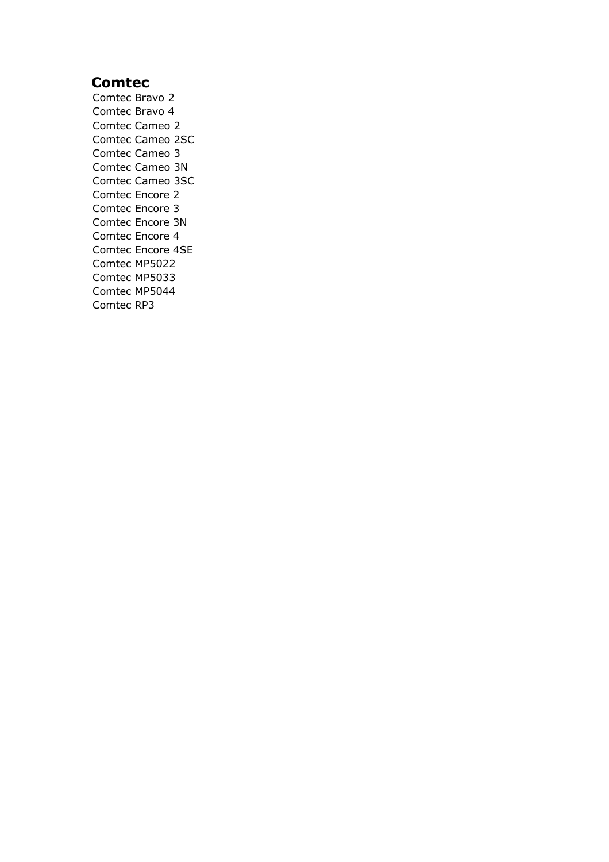# **Comtec**

Comtec Bravo 2 Comtec Bravo 4 Comtec Cameo 2 Comtec Cameo 2SC Comtec Cameo 3 Comtec Cameo 3N Comtec Cameo 3SC Comtec Encore 2 Comtec Encore 3 Comtec Encore 3N Comtec Encore 4 Comtec Encore 4SE Comtec MP5022 Comtec MP5033 Comtec MP5044 Comtec RP3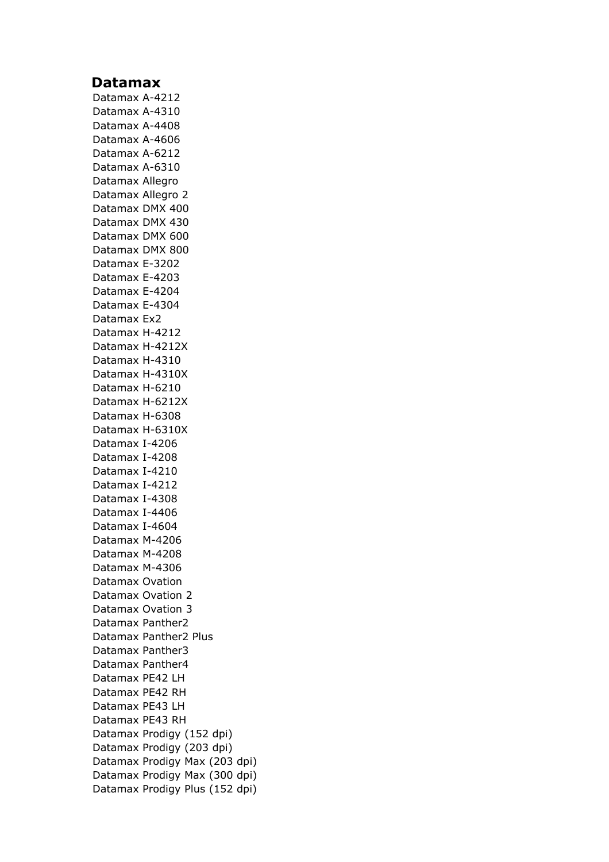### **Datamax**

Datamax A-4212 Datamax A-4310 Datamax A-4408 Datamax A-4606 Datamax A-6212 Datamax A-6310 Datamax Allegro Datamax Allegro 2 Datamax DMX 400 Datamax DMX 430 Datamax DMX 600 Datamax DMX 800 Datamax E-3202 Datamax E-4203 Datamax E-4204 Datamax E-4304 Datamax Ex2 Datamax H-4212 Datamax H-4212X Datamax H-4310 Datamax H-4310X Datamax H-6210 Datamax H-6212X Datamax H-6308 Datamax H-6310X Datamax I-4206 Datamax I-4208 Datamax I-4210 Datamax I-4212 Datamax I-4308 Datamax I-4406 Datamax I-4604 Datamax M-4206 Datamax M-4208 Datamax M-4306 Datamax Ovation Datamax Ovation 2 Datamax Ovation 3 Datamax Panther2 Datamax Panther2 Plus Datamax Panther3 Datamax Panther4 Datamax PE42 LH Datamax PE42 RH Datamax PE43 LH Datamax PE43 RH Datamax Prodigy (152 dpi) Datamax Prodigy (203 dpi) Datamax Prodigy Max (203 dpi) Datamax Prodigy Max (300 dpi) Datamax Prodigy Plus (152 dpi)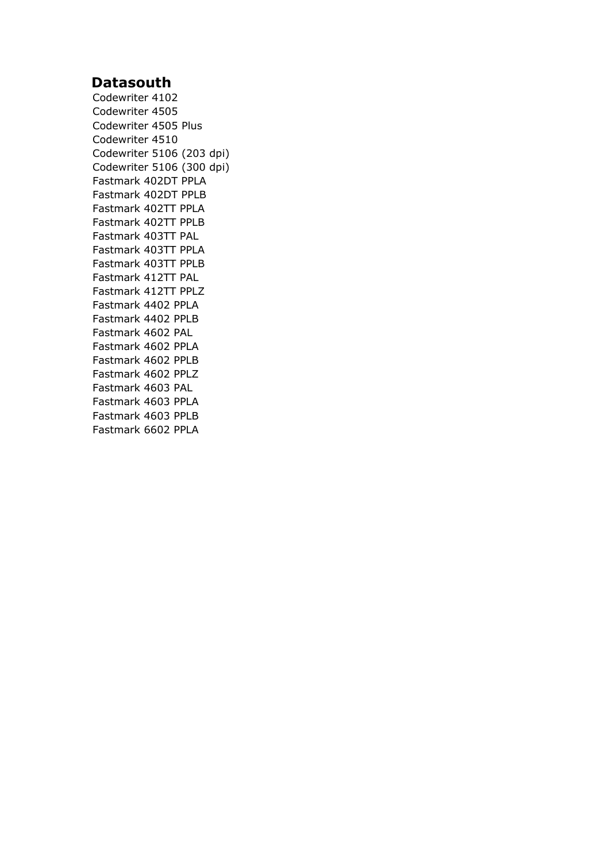# **Datasouth**

Codewriter 4102 Codewriter 4505 Codewriter 4505 Plus Codewriter 4510 Codewriter 5106 (203 dpi) Codewriter 5106 (300 dpi) Fastmark 402DT PPLA Fastmark 402DT PPLB Fastmark 402TT PPLA Fastmark 402TT PPLB Fastmark 403TT PAL Fastmark 403TT PPLA Fastmark 403TT PPLB Fastmark 412TT PAL Fastmark 412TT PPLZ Fastmark 4402 PPLA Fastmark 4402 PPLB Fastmark 4602 PAL Fastmark 4602 PPLA Fastmark 4602 PPLB Fastmark 4602 PPLZ Fastmark 4603 PAL Fastmark 4603 PPLA Fastmark 4603 PPLB Fastmark 6602 PPLA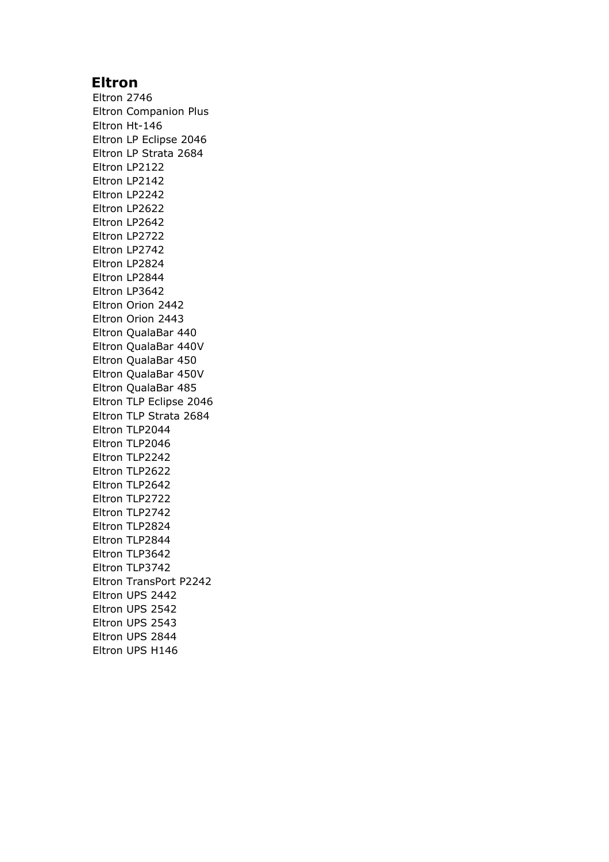# **Eltron**

Eltron 2746 Eltron Companion Plus Eltron Ht-146 Eltron LP Eclipse 2046 Eltron LP Strata 2684 Eltron LP2122 Eltron LP2142 Eltron LP2242 Eltron LP2622 Eltron LP2642 Eltron LP2722 Eltron LP2742 Eltron LP2824 Eltron LP2844 Eltron LP3642 Eltron Orion 2442 Eltron Orion 2443 Eltron QualaBar 440 Eltron QualaBar 440V Eltron QualaBar 450 Eltron QualaBar 450V Eltron QualaBar 485 Eltron TLP Eclipse 2046 Eltron TLP Strata 2684 Eltron TLP2044 Eltron TLP2046 Eltron TLP2242 Eltron TLP2622 Eltron TLP2642 Eltron TLP2722 Eltron TLP2742 Eltron TLP2824 Eltron TLP2844 Eltron TLP3642 Eltron TLP3742 Eltron TransPort P2242 Eltron UPS 2442 Eltron UPS 2542 Eltron UPS 2543 Eltron UPS 2844 Eltron UPS H146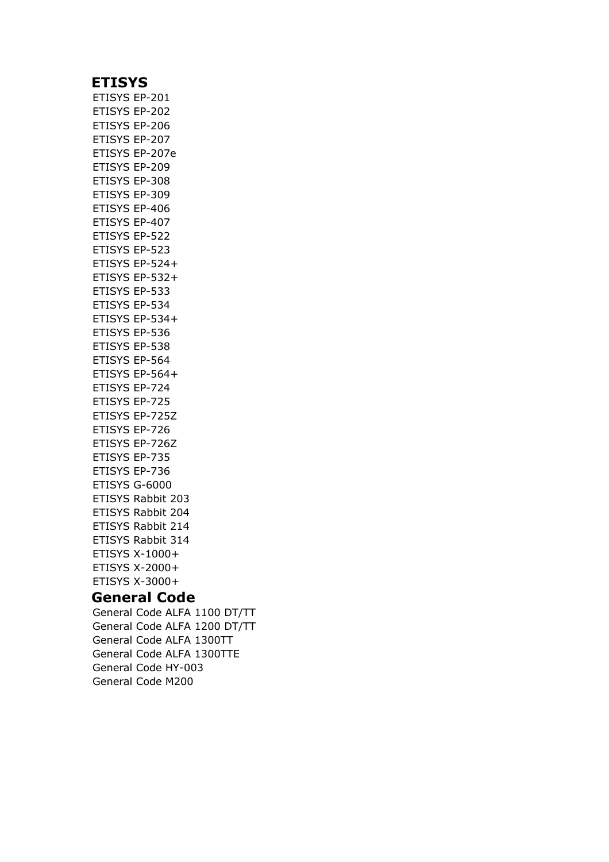### **ETISYS**

ETISYS EP-201 ETISYS EP-202 ETISYS EP-206 ETISYS EP-207 ETISYS EP-207e ETISYS EP-209 ETISYS EP-308 ETISYS EP-309 ETISYS EP-406 ETISYS EP-407 ETISYS EP-522 ETISYS EP-523 ETISYS EP-524+ ETISYS EP-532+ ETISYS EP-533 ETISYS EP-534 ETISYS EP-534+ ETISYS EP-536 ETISYS EP-538 ETISYS EP-564 ETISYS EP-564+ ETISYS EP-724 ETISYS EP-725 ETISYS EP-725Z ETISYS EP-726 ETISYS EP-726Z ETISYS EP-735 ETISYS EP-736 ETISYS G-6000 ETISYS Rabbit 203 ETISYS Rabbit 204 ETISYS Rabbit 214 ETISYS Rabbit 314 ETISYS X-1000+ ETISYS X-2000+ ETISYS X-3000+

### **General Code**

General Code ALFA 1100 DT/TT General Code ALFA 1200 DT/TT General Code ALFA 1300TT General Code ALFA 1300TTE General Code HY-003 General Code M200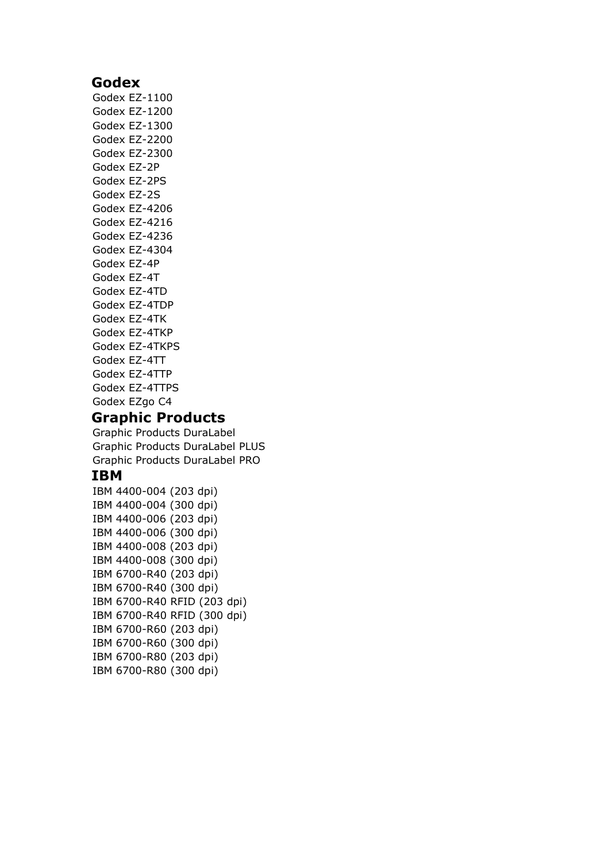### **Godex**

Godex EZ-1100 Godex EZ-1200 Godex EZ-1300 Godex EZ-2200 Godex EZ-2300 Godex EZ-2P Godex EZ-2PS Godex EZ-2S Godex EZ-4206 Godex EZ-4216 Godex EZ-4236 Godex EZ-4304 Godex EZ-4P Godex EZ-4T Godex EZ-4TD Godex EZ-4TDP Godex EZ-4TK Godex EZ-4TKP Godex EZ-4TKPS Godex EZ-4TT Godex EZ-4TTP Godex EZ-4TTPS Godex EZgo C4

# **Graphic Products**

Graphic Products DuraLabel Graphic Products DuraLabel PLUS Graphic Products DuraLabel PRO

### **IBM**

IBM 4400-004 (203 dpi) IBM 4400-004 (300 dpi) IBM 4400-006 (203 dpi) IBM 4400-006 (300 dpi) IBM 4400-008 (203 dpi) IBM 4400-008 (300 dpi) IBM 6700-R40 (203 dpi) IBM 6700-R40 (300 dpi) IBM 6700-R40 RFID (203 dpi) IBM 6700-R40 RFID (300 dpi) IBM 6700-R60 (203 dpi) IBM 6700-R60 (300 dpi) IBM 6700-R80 (203 dpi) IBM 6700-R80 (300 dpi)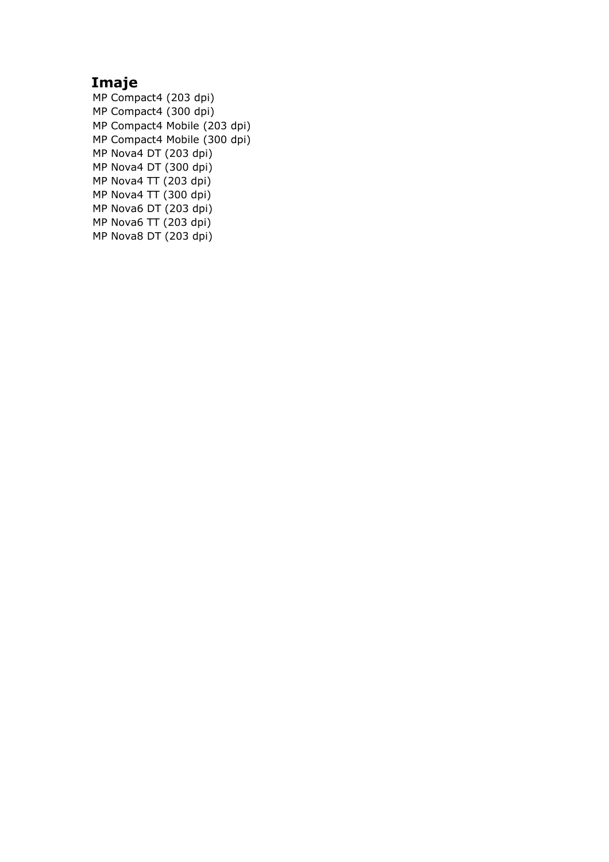# **Imaje**

MP Compact4 (203 dpi) MP Compact4 (300 dpi) MP Compact4 Mobile (203 dpi) MP Compact4 Mobile (300 dpi) MP Nova4 DT (203 dpi) MP Nova4 DT  $(300 \text{ dipi})$ MP Nova4 TT (203 dpi) MP Nova4 TT (300 dpi) MP Nova6 DT (203 dpi) MP Nova6 TT (203 dpi) MP Nova8 DT (203 dpi)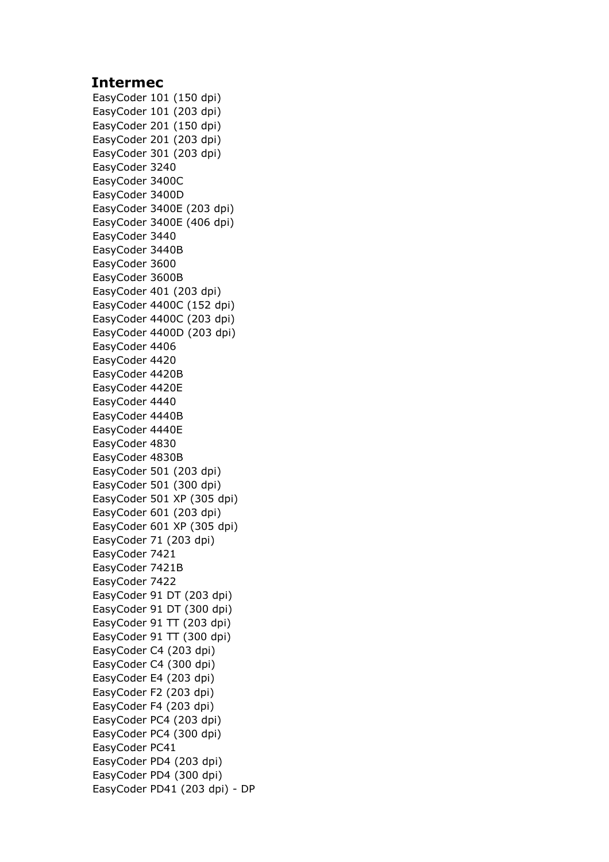### **Intermec**

EasyCoder 101 (150 dpi) EasyCoder 101 (203 dpi) EasyCoder 201 (150 dpi) EasyCoder 201 (203 dpi) EasyCoder 301 (203 dpi) EasyCoder 3240 EasyCoder 3400C EasyCoder 3400D EasyCoder 3400E (203 dpi) EasyCoder 3400E (406 dpi) EasyCoder 3440 EasyCoder 3440B EasyCoder 3600 EasyCoder 3600B EasyCoder 401 (203 dpi) EasyCoder 4400C (152 dpi) EasyCoder 4400C (203 dpi) EasyCoder 4400D (203 dpi) EasyCoder 4406 EasyCoder 4420 EasyCoder 4420B EasyCoder 4420E EasyCoder 4440 EasyCoder 4440B EasyCoder 4440E EasyCoder 4830 EasyCoder 4830B EasyCoder 501 (203 dpi) EasyCoder 501 (300 dpi) EasyCoder 501 XP (305 dpi) EasyCoder 601 (203 dpi) EasyCoder 601 XP (305 dpi) EasyCoder 71 (203 dpi) EasyCoder 7421 EasyCoder 7421B EasyCoder 7422 EasyCoder 91 DT (203 dpi) EasyCoder 91 DT (300 dpi) EasyCoder 91 TT (203 dpi) EasyCoder 91 TT (300 dpi) EasyCoder C4 (203 dpi) EasyCoder C4 (300 dpi) EasyCoder E4 (203 dpi) EasyCoder F2 (203 dpi) EasyCoder F4 (203 dpi) EasyCoder PC4 (203 dpi) EasyCoder PC4 (300 dpi) EasyCoder PC41 EasyCoder PD4 (203 dpi) EasyCoder PD4 (300 dpi) EasyCoder PD41 (203 dpi) - DP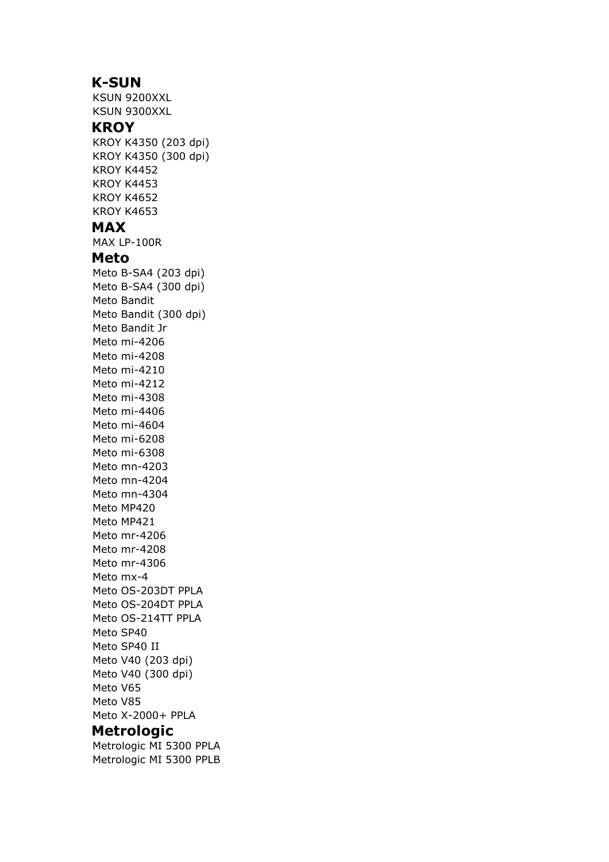### **K-SUN**

KSUN 9200XXL KSUN 9300XXL **KROY** KROY K4350 (203 dpi) KROY K4350 (300 dpi) KROY K4452 KROY K4453 KROY K4652 KROY K4653 **MAX** MAX LP-100R **Meto** Meto B-SA4 (203 dpi) Meto B-SA4 (300 dpi) Meto Bandit Meto Bandit (300 dpi) Meto Bandit Jr Meto mi-4206 Meto mi-4208 Meto mi-4210 Meto mi-4212 Meto mi-4308 Meto mi-4406 Meto mi-4604 Meto mi-6208 Meto mi-6308 Meto mn-4203 Meto mn-4204 Meto mn-4304 Meto MP420 Meto MP421 Meto mr-4206 Meto mr-4208 Meto mr-4306 Meto mx-4 Meto OS-203DT PPLA Meto OS-204DT PPLA Meto OS-214TT PPLA Meto SP40 Meto SP40 II Meto V40 (203 dpi) Meto V40 (300 dpi) Meto V65 Meto V85 Meto X-2000+ PPLA **Metrologic**

Metrologic MI 5300 PPLA Metrologic MI 5300 PPLB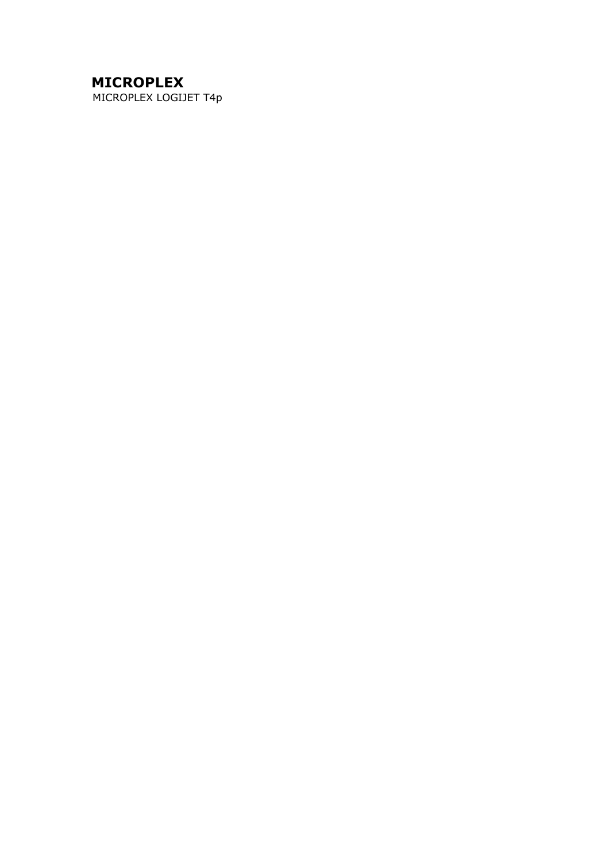# **MICROPLEX**

MICROPLEX LOGIJET T4p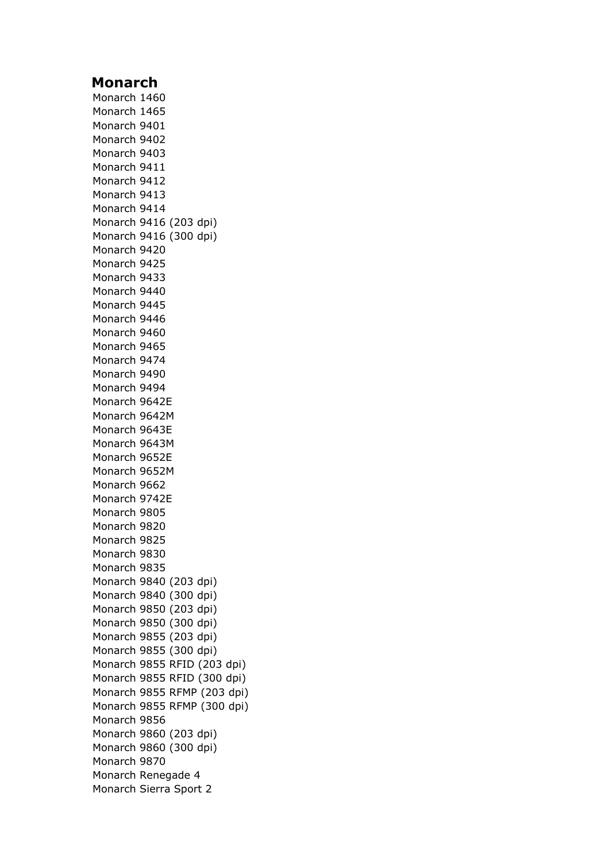### **Monarch**

Monarch 1460 Monarch 1465 Monarch 9401 Monarch 9402 Monarch 9403 Monarch 9411 Monarch 9412 Monarch 9413 Monarch 9414 Monarch 9416 (203 dpi) Monarch 9416 (300 dpi) Monarch 9420 Monarch 9425 Monarch 9433 Monarch 9440 Monarch 9445 Monarch 9446 Monarch 9460 Monarch 9465 Monarch 9474 Monarch 9490 Monarch 9494 Monarch 9642E Monarch 9642M Monarch 9643E Monarch 9643M Monarch 9652E Monarch 9652M Monarch 9662 Monarch 9742E Monarch 9805 Monarch 9820 Monarch 9825 Monarch 9830 Monarch 9835 Monarch 9840 (203 dpi) Monarch 9840 (300 dpi) Monarch 9850 (203 dpi) Monarch 9850 (300 dpi) Monarch 9855 (203 dpi) Monarch 9855 (300 dpi) Monarch 9855 RFID (203 dpi) Monarch 9855 RFID (300 dpi) Monarch 9855 RFMP (203 dpi) Monarch 9855 RFMP (300 dpi) Monarch 9856 Monarch 9860 (203 dpi) Monarch 9860 (300 dpi) Monarch 9870 Monarch Renegade 4 Monarch Sierra Sport 2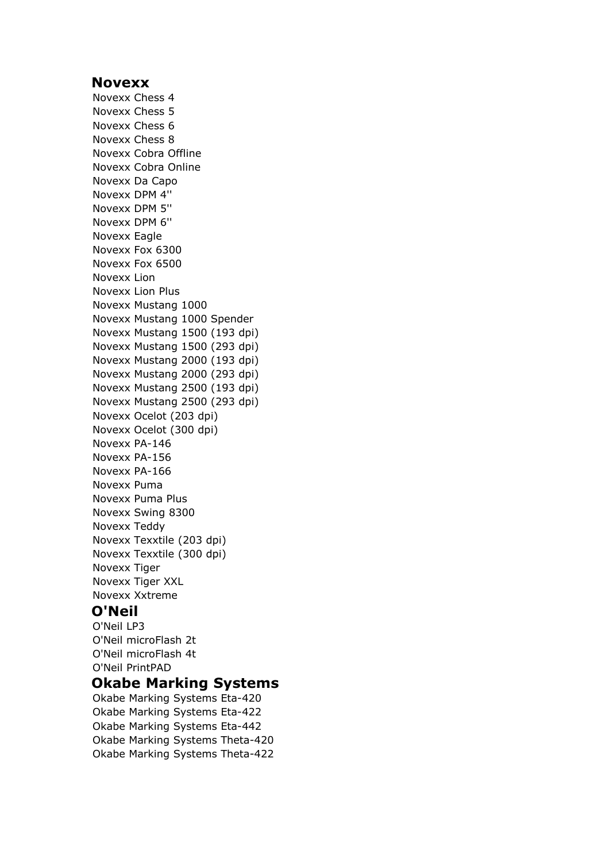#### **Novexx**

Novexx Chess 4 Novexx Chess 5 Novexx Chess 6 Novexx Chess 8 Novexx Cobra Offline Novexx Cobra Online Novexx Da Capo Novexx DPM 4'' Novexx DPM 5'' Novexx DPM 6'' Novexx Eagle Novexx Fox 6300 Novexx Fox 6500 Novexx Lion Novexx Lion Plus Novexx Mustang 1000 Novexx Mustang 1000 Spender Novexx Mustang 1500 (193 dpi) Novexx Mustang 1500 (293 dpi) Novexx Mustang 2000 (193 dpi) Novexx Mustang 2000 (293 dpi) Novexx Mustang 2500 (193 dpi) Novexx Mustang 2500 (293 dpi) Novexx Ocelot (203 dpi) Novexx Ocelot (300 dpi) Novexx PA-146 Novexx PA-156 Novexx PA-166 Novexx Puma Novexx Puma Plus Novexx Swing 8300 Novexx Teddy Novexx Texxtile (203 dpi) Novexx Texxtile (300 dpi) Novexx Tiger Novexx Tiger XXL Novexx Xxtreme

## **O'Neil**

O'Neil LP3 O'Neil microFlash 2t O'Neil microFlash 4t O'Neil PrintPAD

# **Okabe Marking Systems**

Okabe Marking Systems Eta-420 Okabe Marking Systems Eta-422 Okabe Marking Systems Eta-442 Okabe Marking Systems Theta-420 Okabe Marking Systems Theta-422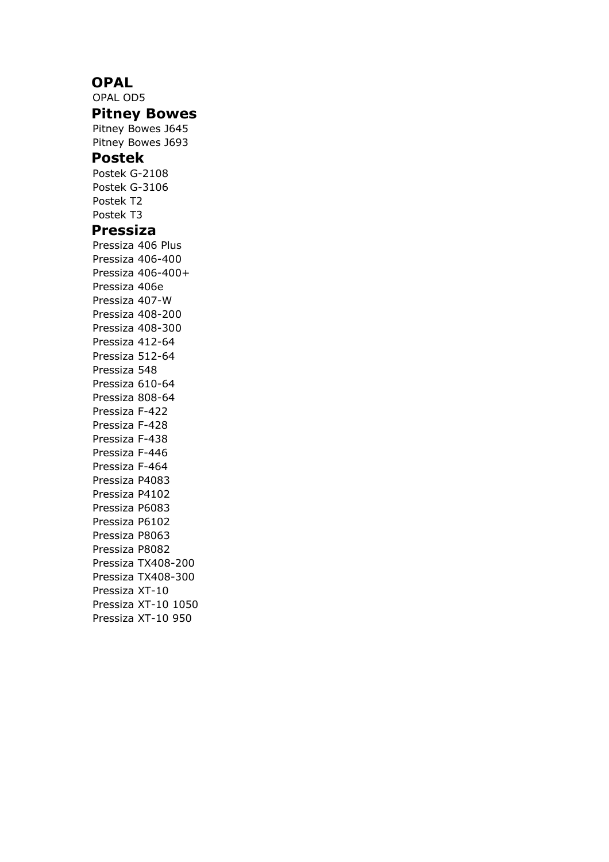### **OPAL**

OPAL OD5 **Pitney Bowes** Pitney Bowes J645 Pitney Bowes J693 **Postek** Postek G-2108 Postek G-3106 Postek T2 Postek T3 **Pressiza** Pressiza 406 Plus Pressiza 406-400 Pressiza 406-400+ Pressiza 406e Pressiza 407-W Pressiza 408-200 Pressiza 408-300 Pressiza 412-64 Pressiza 512-64 Pressiza 548 Pressiza 610-64 Pressiza 808-64 Pressiza F-422 Pressiza F-428 Pressiza F-438 Pressiza F-446 Pressiza F-464 Pressiza P4083 Pressiza P4102 Pressiza P6083 Pressiza P6102 Pressiza P8063 Pressiza P8082 Pressiza TX408-200 Pressiza TX408-300 Pressiza XT-10 Pressiza XT-10 1050 Pressiza XT-10 950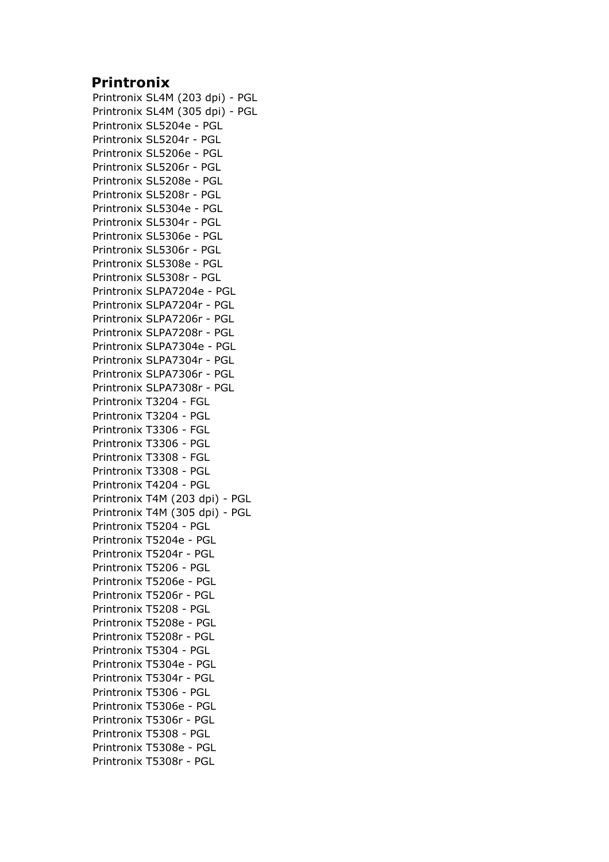## **Printronix**

Printronix SL4M (203 dpi) - PGL Printronix SL4M (305 dpi) - PGL Printronix SL5204e - PGL Printronix SL5204r - PGL Printronix SL5206e - PGL Printronix SL5206r - PGL Printronix SL5208e - PGL Printronix SL5208r - PGL Printronix SL5304e - PGL Printronix SL5304r - PGL Printronix SL5306e - PGL Printronix SL5306r - PGL Printronix SL5308e - PGL Printronix SL5308r - PGL Printronix SLPA7204e - PGL Printronix SLPA7204r - PGL Printronix SLPA7206r - PGL Printronix SLPA7208r - PGL Printronix SLPA7304e - PGL Printronix SLPA7304r - PGL Printronix SLPA7306r - PGL Printronix SLPA7308r - PGL Printronix T3204 - FGL Printronix T3204 - PGL Printronix T3306 - FGL Printronix T3306 - PGL Printronix T3308 - FGL Printronix T3308 - PGL Printronix T4204 - PGL Printronix T4M (203 dpi) - PGL Printronix T4M (305 dpi) - PGL Printronix T5204 - PGL Printronix T5204e - PGL Printronix T5204r - PGL Printronix T5206 - PGL Printronix T5206e - PGL Printronix T5206r - PGL Printronix T5208 - PGL Printronix T5208e - PGL Printronix T5208r - PGL Printronix T5304 - PGL Printronix T5304e - PGL Printronix T5304r - PGL Printronix T5306 - PGL Printronix T5306e - PGL Printronix T5306r - PGL Printronix T5308 - PGL Printronix T5308e - PGL Printronix T5308r - PGL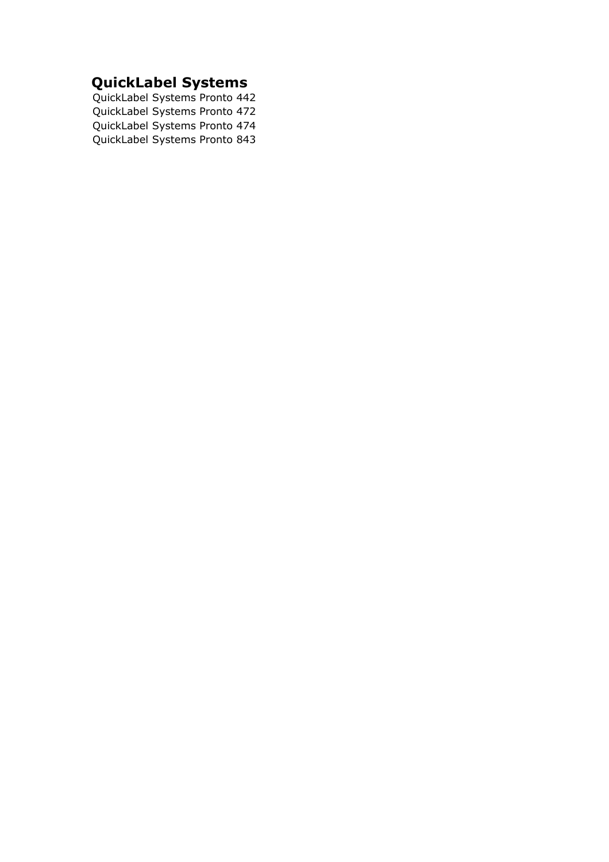# **QuickLabel Systems**

QuickLabel Systems Pronto 442 QuickLabel Systems Pronto 472 QuickLabel Systems Pronto 474 QuickLabel Systems Pronto 843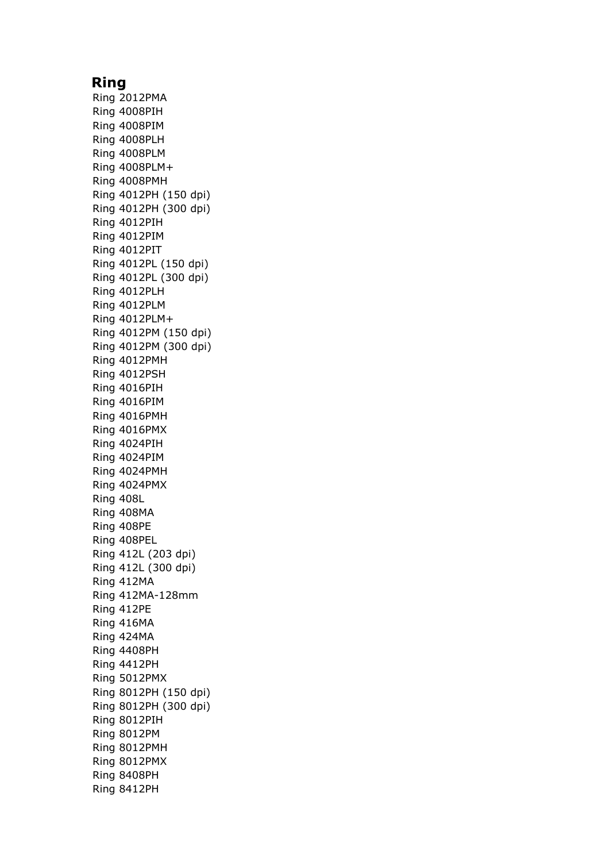### **Ring**

Ring 2012PMA Ring 4008PIH Ring 4008PIM Ring 4008PLH Ring 4008PLM Ring 4008PLM+ Ring 4008PMH Ring 4012PH (150 dpi) Ring 4012PH (300 dpi) Ring 4012PIH Ring 4012PIM Ring 4012PIT Ring 4012PL (150 dpi) Ring 4012PL (300 dpi) Ring 4012PLH Ring 4012PLM Ring 4012PLM+ Ring 4012PM (150 dpi) Ring 4012PM (300 dpi) Ring 4012PMH Ring 4012PSH Ring 4016PIH Ring 4016PIM Ring 4016PMH Ring 4016PMX Ring 4024PIH Ring 4024PIM Ring 4024PMH Ring 4024PMX Ring 408L Ring 408MA Ring 408PE Ring 408PEL Ring 412L (203 dpi) Ring 412L (300 dpi) Ring 412MA Ring 412MA-128mm Ring 412PE Ring 416MA Ring 424MA Ring 4408PH Ring 4412PH Ring 5012PMX Ring 8012PH (150 dpi) Ring 8012PH (300 dpi) Ring 8012PIH Ring 8012PM Ring 8012PMH Ring 8012PMX Ring 8408PH Ring 8412PH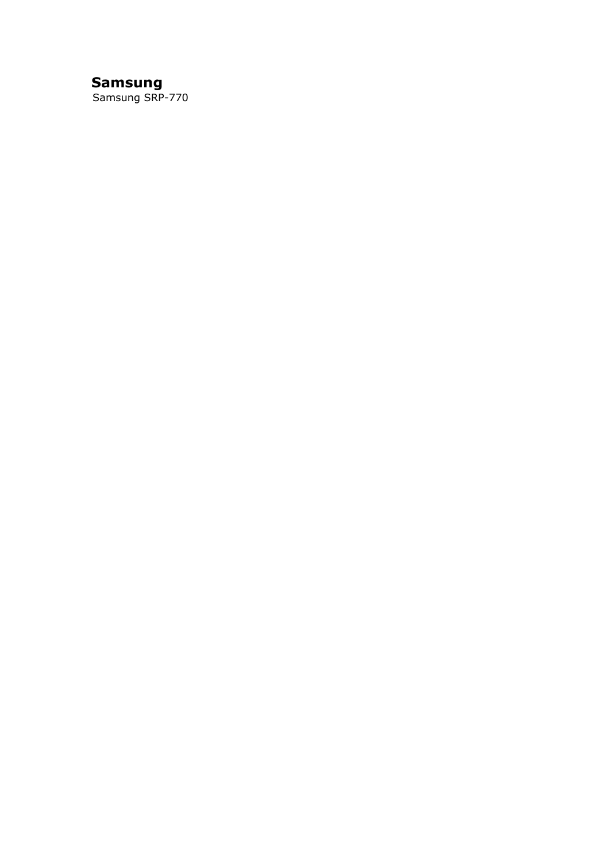# **Samsung**

Samsung SRP-770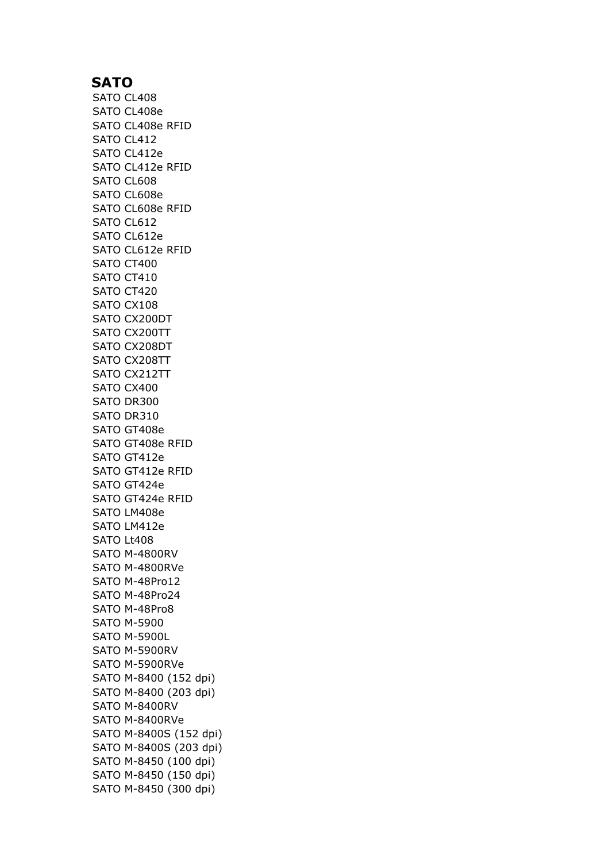## **SATO**

SATO CL408 SATO CL408e SATO CL408e RFID SATO CL412 SATO CL412e SATO CL412e RFID SATO CL608 SATO CL608e SATO CL608e RFID SATO CL612 SATO CL612e SATO CL612e RFID SATO CT400 SATO CT410 SATO CT420 SATO CX108 SATO CX200DT SATO CX200TT SATO CX208DT SATO CX208TT SATO CX212TT SATO CX400 SATO DR300 SATO DR310 SATO GT408e SATO GT408e RFID SATO GT412e SATO GT412e RFID SATO GT424e SATO GT424e RFID SATO LM408e SATO LM412e SATO Lt408 SATO M-4800RV SATO M-4800RVe SATO M-48Pro12 SATO M-48Pro24 SATO M-48Pro8 SATO M-5900 SATO M-5900L SATO M-5900RV SATO M-5900RVe SATO M-8400 (152 dpi) SATO M-8400 (203 dpi) SATO M-8400RV SATO M-8400RVe SATO M-8400S (152 dpi) SATO M-8400S (203 dpi) SATO M-8450 (100 dpi) SATO M-8450 (150 dpi) SATO M-8450 (300 dpi)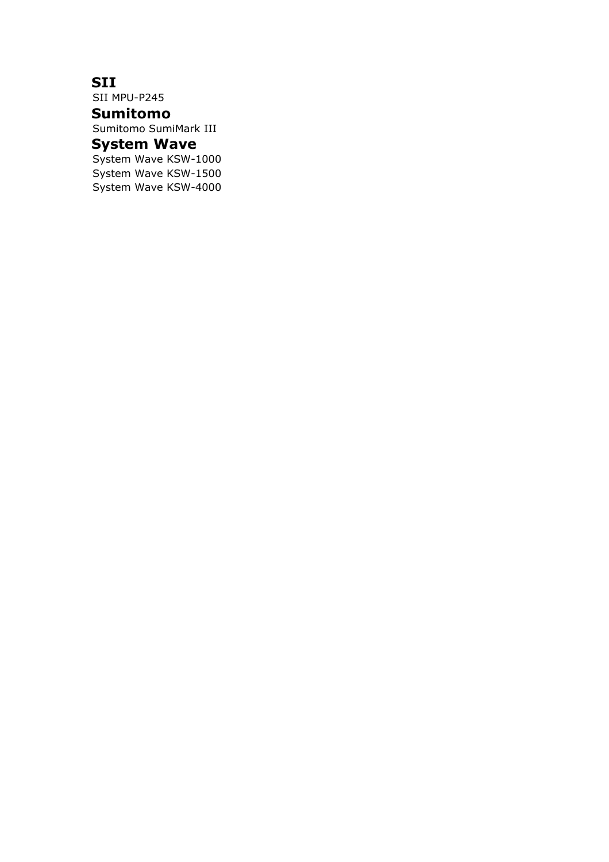# **SII**

SII MPU-P245 **Sumitomo**

Sumitomo SumiMark III

# **System Wave**

System Wave KSW-1000 System Wave KSW-1500 System Wave KSW-4000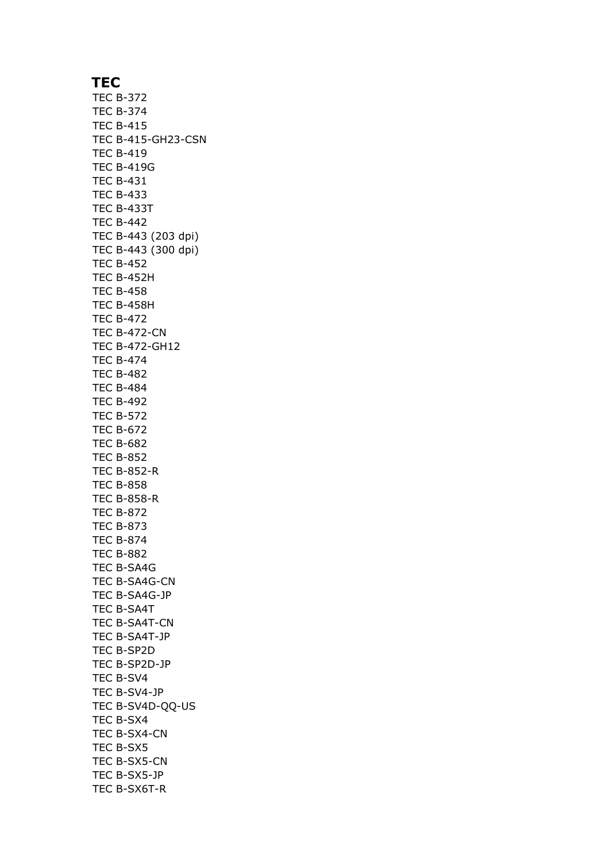### **TEC**

TEC B-372 TEC B-374 TEC B-415 TEC B-415-GH23-CSN TEC B-419 TEC B-419G TEC B-431 TEC B-433 TEC B-433T TEC B-442 TEC B-443 (203 dpi) TEC B-443 (300 dpi) TEC B-452 TEC B-452H TEC B-458 TEC B-458H TEC B-472 TEC B-472-CN TEC B-472-GH12 TEC B-474 TEC B-482 TEC B-484 TEC B-492 TEC B-572 TEC B-672 TEC B-682 TEC B-852 TEC B-852-R TEC B-858 TEC B-858-R TEC B-872 TEC B-873 TEC B-874 TEC B-882 TEC B-SA4G TEC B-SA4G-CN TEC B-SA4G-JP TEC B-SA4T TEC B-SA4T-CN TEC B-SA4T-JP TEC B-SP2D TEC B-SP2D-JP TEC B-SV4 TEC B-SV4-JP TEC B-SV4D-QQ-US TEC B-SX4 TEC B-SX4-CN TEC B-SX5 TEC B-SX5-CN TEC B-SX5-JP TEC B-SX6T-R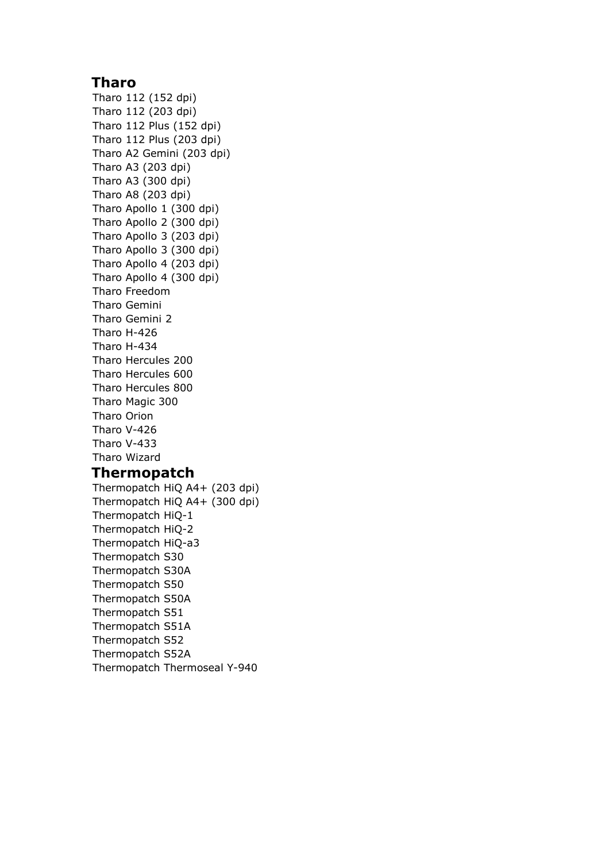### **Tharo**

Tharo 112 (152 dpi) Tharo 112 (203 dpi) Tharo 112 Plus (152 dpi) Tharo 112 Plus (203 dpi) Tharo A2 Gemini (203 dpi) Tharo A3 (203 dpi) Tharo A3 (300 dpi) Tharo A8 (203 dpi) Tharo Apollo 1 (300 dpi) Tharo Apollo 2 (300 dpi) Tharo Apollo 3 (203 dpi) Tharo Apollo 3 (300 dpi) Tharo Apollo 4 (203 dpi) Tharo Apollo 4 (300 dpi) Tharo Freedom Tharo Gemini Tharo Gemini 2 Tharo H-426 Tharo H-434 Tharo Hercules 200 Tharo Hercules 600 Tharo Hercules 800 Tharo Magic 300 Tharo Orion Tharo V-426 Tharo V-433 Tharo Wizard

# **Thermopatch**

Thermopatch HiQ A4+ (203 dpi) Thermopatch HiQ A4+ (300 dpi) Thermopatch HiQ-1 Thermopatch HiQ-2 Thermopatch HiQ-a3 Thermopatch S30 Thermopatch S30A Thermopatch S50 Thermopatch S50A Thermopatch S51 Thermopatch S51A Thermopatch S52 Thermopatch S52A Thermopatch Thermoseal Y-940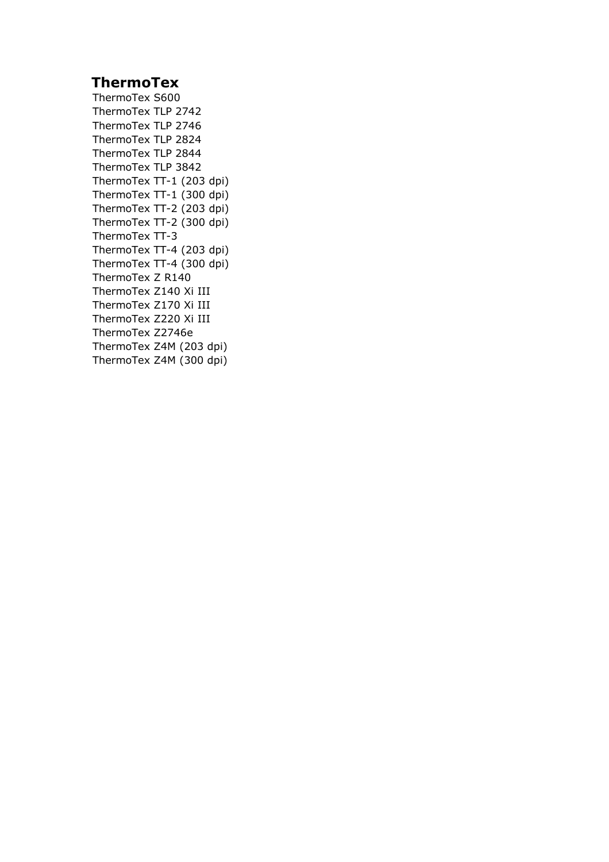# **ThermoTex**

ThermoTex S600 ThermoTex TLP 2742 ThermoTex TLP 2746 ThermoTex TLP 2824 ThermoTex TLP 2844 ThermoTex TLP 3842 ThermoTex TT-1 (203 dpi) ThermoTex TT-1 (300 dpi) ThermoTex TT-2 (203 dpi) ThermoTex TT-2 (300 dpi) ThermoTex TT-3 ThermoTex TT-4 (203 dpi) ThermoTex TT-4 (300 dpi) ThermoTex Z R140 ThermoTex Z140 Xi III ThermoTex Z170 Xi III ThermoTex Z220 Xi III ThermoTex Z2746e ThermoTex Z4M (203 dpi) ThermoTex Z4M (300 dpi)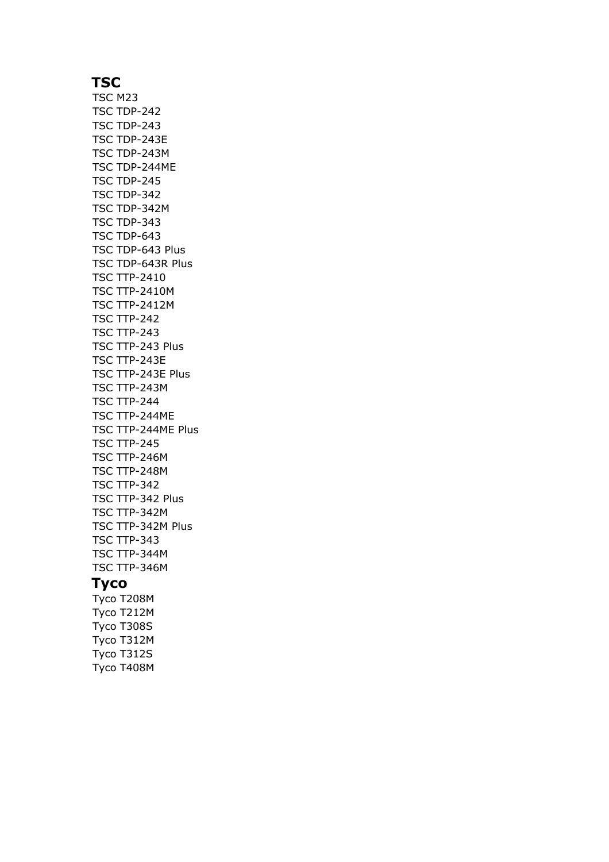# **TSC**

TSC M23 TSC TDP-242 TSC TDP-243 TSC TDP-243E TSC TDP-243M TSC TDP-244ME TSC TDP-245 TSC TDP-342 TSC TDP-342M TSC TDP-343 TSC TDP-643 TSC TDP-643 Plus TSC TDP-643R Plus TSC TTP-2410 TSC TTP-2410M TSC TTP-2412M TSC TTP-242 TSC TTP-243 TSC TTP-243 Plus TSC TTP-243E TSC TTP-243E Plus TSC TTP-243M TSC TTP-244 TSC TTP-244ME TSC TTP-244ME Plus TSC TTP-245 TSC TTP-246M TSC TTP-248M TSC TTP-342 TSC TTP-342 Plus TSC TTP-342M TSC TTP-342M Plus TSC TTP-343 TSC TTP-344M TSC TTP-346M

### **Tyco**

Tyco T208M Tyco T212M Tyco T308S Tyco T312M Tyco T312S Tyco T408M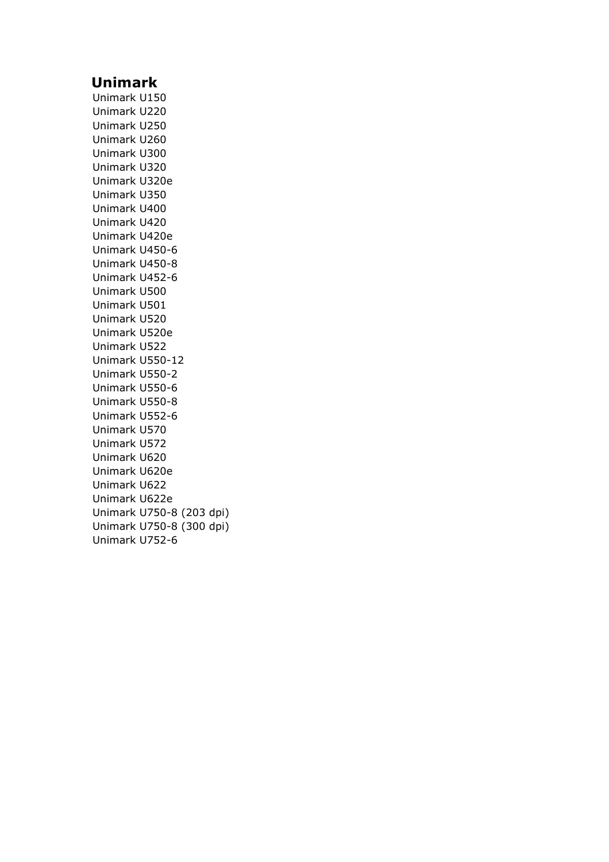## **Unimark**

Unimark U150 Unimark U220 Unimark U250 Unimark U260 Unimark U300 Unimark U320 Unimark U320e Unimark U350 Unimark U400 Unimark U420 Unimark U420e Unimark U450-6 Unimark U450-8 Unimark U452-6 Unimark U500 Unimark U501 Unimark U520 Unimark U520e Unimark U522 Unimark U550-12 Unimark U550-2 Unimark U550-6 Unimark U550-8 Unimark U552-6 Unimark U570 Unimark U572 Unimark U620 Unimark U620e Unimark U622 Unimark U622e Unimark U750-8 (203 dpi) Unimark U750-8 (300 dpi) Unimark U752-6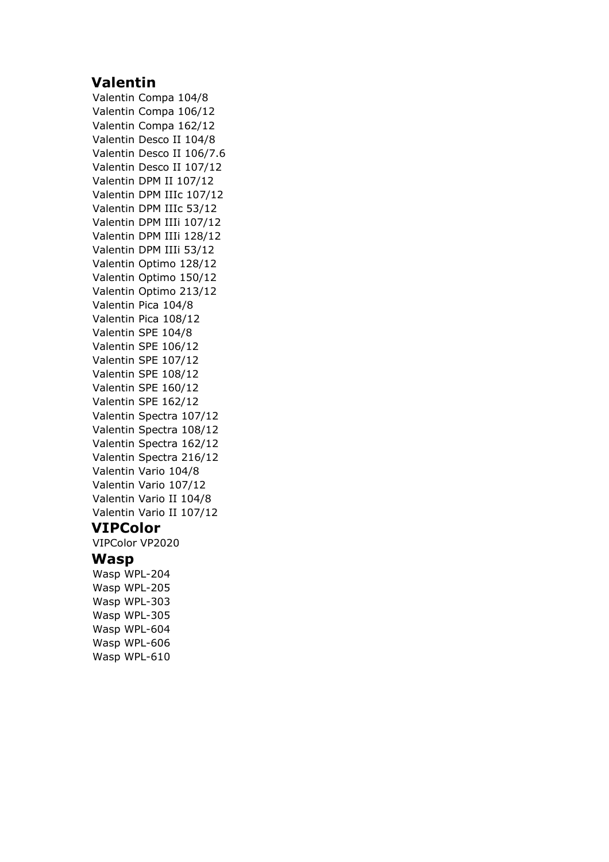# **Valentin**

Valentin Compa 104/8 Valentin Compa 106/12 Valentin Compa 162/12 Valentin Desco II 104/8 Valentin Desco II 106/7.6 Valentin Desco II 107/12 Valentin DPM II 107/12 Valentin DPM IIIc 107/12 Valentin DPM IIIc 53/12 Valentin DPM IIIi 107/12 Valentin DPM IIIi 128/12 Valentin DPM IIIi 53/12 Valentin Optimo 128/12 Valentin Optimo 150/12 Valentin Optimo 213/12 Valentin Pica 104/8 Valentin Pica 108/12 Valentin SPE 104/8 Valentin SPE 106/12 Valentin SPE 107/12 Valentin SPE 108/12 Valentin SPE 160/12 Valentin SPE 162/12 Valentin Spectra 107/12 Valentin Spectra 108/12 Valentin Spectra 162/12 Valentin Spectra 216/12 Valentin Vario 104/8 Valentin Vario 107/12 Valentin Vario II 104/8 Valentin Vario II 107/12 **VIPColor** VIPColor VP2020

#### **Wasp**

Wasp WPL-204 Wasp WPL-205 Wasp WPL-303 Wasp WPL-305 Wasp WPL-604 Wasp WPL-606 Wasp WPL-610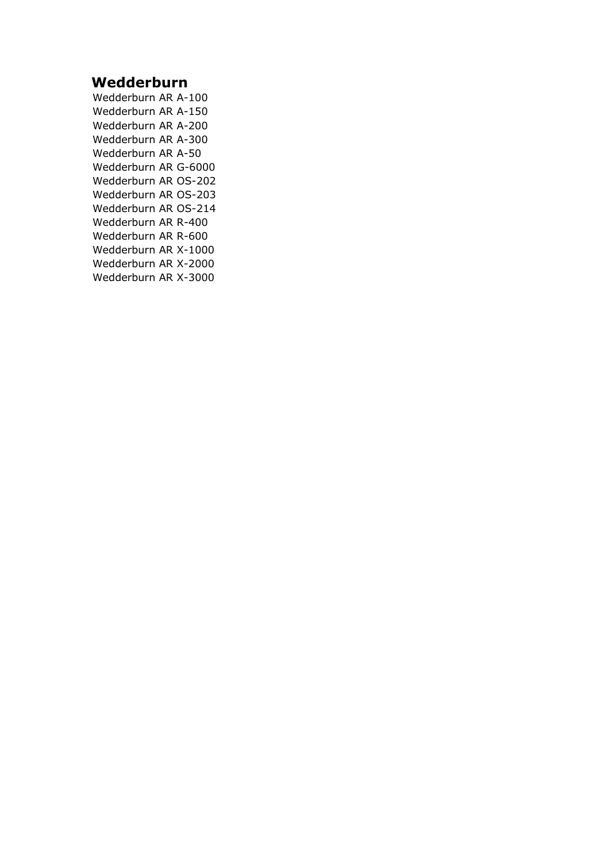# **Wedderburn**

Wedderburn AR A-100 Wedderburn AR A-150 Wedderburn AR A-200 Wedderburn AR A-300 Wedderburn AR A-50 Wedderburn AR G-6000 Wedderburn AR OS-202 Wedderburn AR OS-203 Wedderburn AR OS-214 Wedderburn AR R-400 Wedderburn AR R-600 Wedderburn AR X-1000 Wedderburn AR X-2000 Wedderburn AR X-3000